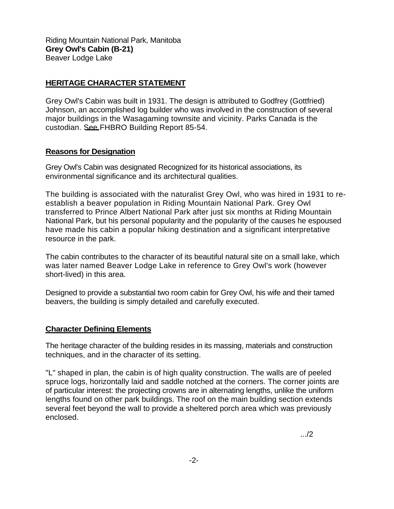Riding Mountain National Park, Manitoba **Grey Owl's Cabin (B-21)**  Beaver Lodge Lake

## **HERITAGE CHARACTER STATEMENT**

Grey Owl's Cabin was built in 1931. The design is attributed to Godfrey (Gottfried) Johnson, an accomplished log builder who was involved in the construction of several major buildings in the Wasagaming townsite and vicinity. Parks Canada is the custodian. See FHBRO Building Report 85-54.

## **Reasons for Designation**

Grey Owl's Cabin was designated Recognized for its historical associations, its environmental significance and its architectural qualities.

The building is associated with the naturalist Grey Owl, who was hired in 1931 to reestablish a beaver population in Riding Mountain National Park. Grey Owl transferred to Prince Albert National Park after just six months at Riding Mountain National Park, but his personal popularity and the popularity of the causes he espoused have made his cabin a popular hiking destination and a significant interpretative resource in the park.

The cabin contributes to the character of its beautiful natural site on a small lake, which was later named Beaver Lodge Lake in reference to Grey Owl's work (however short-lived) in this area.

Designed to provide a substantial two room cabin for Grey Owl, his wife and their tamed beavers, the building is simply detailed and carefully executed.

## **Character Defining Elements**

The heritage character of the building resides in its massing, materials and construction techniques, and in the character of its setting.

"L" shaped in plan, the cabin is of high quality construction. The walls are of peeled spruce logs, horizontally laid and saddle notched at the corners. The corner joints are of particular interest: the projecting crowns are in alternating lengths, unlike the uniform lengths found on other park buildings. The roof on the main building section extends several feet beyond the wall to provide a sheltered porch area which was previously enclosed.

.../2